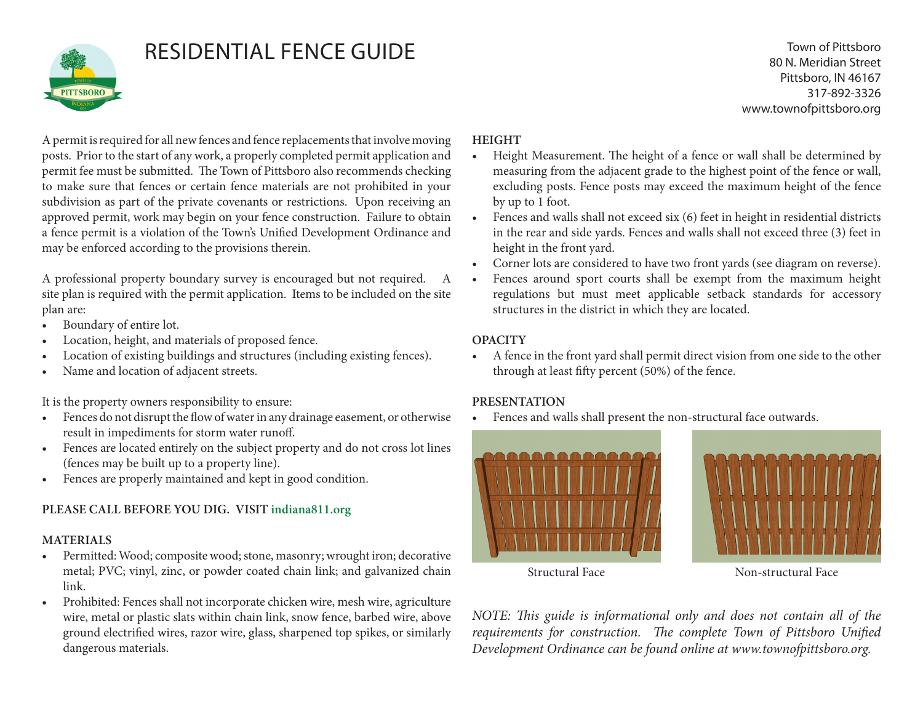

# RESIDENTIAL FENCE GUIDE

Town of Pittsboro 80 N. Meridian Street Pittsboro, IN 46167 317-892-3326 www.townofpittsboro.org

A permit is required for all new fences and fence replacements that involve moving posts. Prior to the start of any work, a properly completed permit application and permit fee must be submitted. The Town of Pittsboro also recommends checking to make sure that fences or certain fence materials are not prohibited in your subdivision as part of the private covenants or restrictions. Upon receiving an approved permit, work may begin on your fence construction. Failure to obtain a fence permit is a violation of the Town's Unified Development Ordinance and may be enforced according to the provisions therein.

A professional property boundary survey is encouraged but not required. A site plan is required with the permit application. Items to be included on the site plan are:

- Boundary of entire lot.
- Location, height, and materials of proposed fence.
- Location of existing buildings and structures (including existing fences).
- Name and location of adjacent streets.

It is the property owners responsibility to ensure:

- Fences do not disrupt the flow of water in any drainage easement, or otherwise result in impediments for storm water runoff.
- Fences are located entirely on the subject property and do not cross lot lines (fences may be built up to a property line).
- Fences are properly maintained and kept in good condition.

# **PLEASE CALL BEFORE YOU DIG. VISIT indiana811.org**

### **MATERIALS**

- Permitted: Wood; composite wood; stone, masonry; wrought iron; decorative metal; PVC; vinyl, zinc, or powder coated chain link; and galvanized chain link.
- Prohibited: Fences shall not incorporate chicken wire, mesh wire, agriculture wire, metal or plastic slats within chain link, snow fence, barbed wire, above ground electrified wires, razor wire, glass, sharpened top spikes, or similarly dangerous materials.

## **HEIGHT**

- Height Measurement. The height of a fence or wall shall be determined by measuring from the adjacent grade to the highest point of the fence or wall, excluding posts. Fence posts may exceed the maximum height of the fence by up to 1 foot.
- Fences and walls shall not exceed six (6) feet in height in residential districts in the rear and side yards. Fences and walls shall not exceed three (3) feet in height in the front yard.
- Corner lots are considered to have two front yards (see diagram on reverse).
- Fences around sport courts shall be exempt from the maximum height regulations but must meet applicable setback standards for accessory structures in the district in which they are located.

### **OPACITY**

• A fence in the front yard shall permit direct vision from one side to the other through at least fifty percent (50%) of the fence.

# **PRESENTATION**

Fences and walls shall present the non-structural face outwards.



Structural Face Non-structural Face

*NOTE: This guide is informational only and does not contain all of the requirements for construction. The complete Town of Pittsboro Unified Development Ordinance can be found online at www.townofpittsboro.org.*